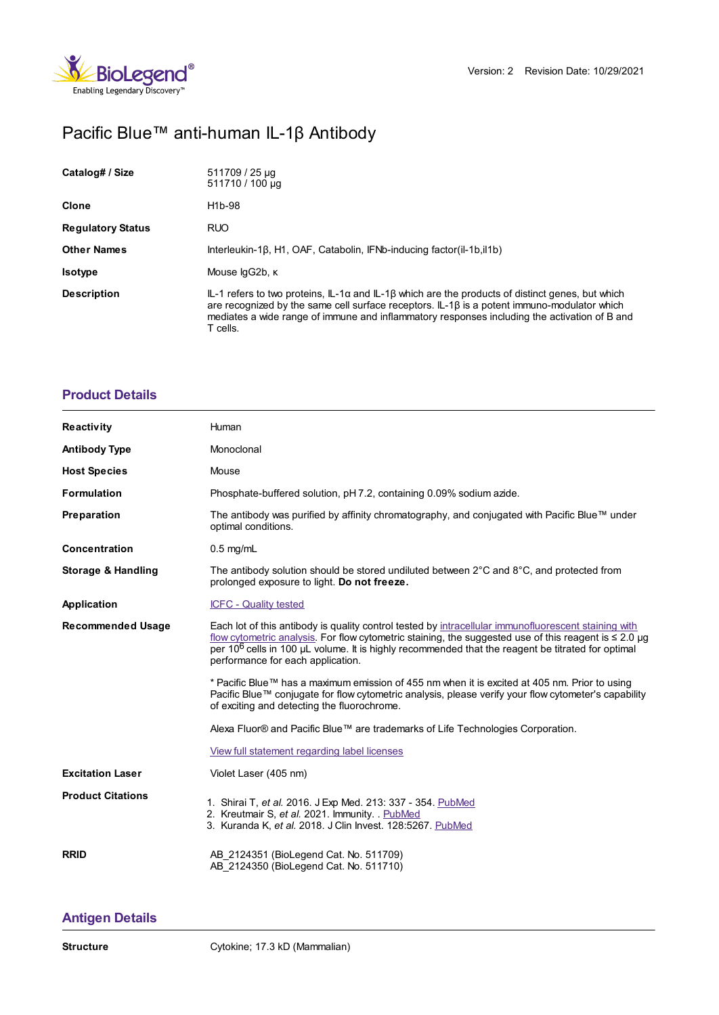

# Pacific Blue™ anti-human IL-1β Antibody

| Catalog# / Size          | 511709 / 25 µg<br>511710 / 100 µg                                                                                                                                                                                                                                                                                                |
|--------------------------|----------------------------------------------------------------------------------------------------------------------------------------------------------------------------------------------------------------------------------------------------------------------------------------------------------------------------------|
| <b>Clone</b>             | H <sub>1</sub> b-98                                                                                                                                                                                                                                                                                                              |
| <b>Regulatory Status</b> | <b>RUO</b>                                                                                                                                                                                                                                                                                                                       |
| <b>Other Names</b>       | Interleukin-1 $\beta$ , H1, OAF, Catabolin, IFNb-inducing factor(il-1b, il1b)                                                                                                                                                                                                                                                    |
| <b>Isotype</b>           | Mouse lgG2b, K                                                                                                                                                                                                                                                                                                                   |
| <b>Description</b>       | $IL-1$ refers to two proteins, $IL-1\alpha$ and $IL-1\beta$ which are the products of distinct genes, but which<br>are recognized by the same cell surface receptors. $IL-1\beta$ is a potent immuno-modulator which<br>mediates a wide range of immune and inflammatory responses including the activation of B and<br>T cells. |

## **[Product](https://www.biolegend.com/en-us/products/pacific-blue-anti-human-il-1beta-antibody-5836?pdf=true&displayInline=true&leftRightMargin=15&topBottomMargin=15&filename=Pacific Blue%EF%BF%BD%EF%BF%BD%EF%BF%BD anti-human IL-1%EF%BF%BD%EF%BF%BD Antibody.pdf#productDetails) Details**

| <b>Reactivity</b>             | Human                                                                                                                                                                                                                                                                                                                                                                    |
|-------------------------------|--------------------------------------------------------------------------------------------------------------------------------------------------------------------------------------------------------------------------------------------------------------------------------------------------------------------------------------------------------------------------|
| <b>Antibody Type</b>          | Monoclonal                                                                                                                                                                                                                                                                                                                                                               |
| <b>Host Species</b>           | Mouse                                                                                                                                                                                                                                                                                                                                                                    |
| <b>Formulation</b>            | Phosphate-buffered solution, pH 7.2, containing 0.09% sodium azide.                                                                                                                                                                                                                                                                                                      |
| Preparation                   | The antibody was purified by affinity chromatography, and conjugated with Pacific Blue™ under<br>optimal conditions.                                                                                                                                                                                                                                                     |
| <b>Concentration</b>          | $0.5$ mg/mL                                                                                                                                                                                                                                                                                                                                                              |
| <b>Storage &amp; Handling</b> | The antibody solution should be stored undiluted between $2^{\circ}$ C and $8^{\circ}$ C, and protected from<br>prolonged exposure to light. Do not freeze.                                                                                                                                                                                                              |
| Application                   | <b>ICFC - Quality tested</b>                                                                                                                                                                                                                                                                                                                                             |
| <b>Recommended Usage</b>      | Each lot of this antibody is quality control tested by intracellular immunofluorescent staining with<br>flow cytometric analysis. For flow cytometric staining, the suggested use of this reagent is $\leq 2.0$ µg<br>per 10 <sup>6</sup> cells in 100 µL volume. It is highly recommended that the reagent be titrated for optimal<br>performance for each application. |
|                               | * Pacific Blue™ has a maximum emission of 455 nm when it is excited at 405 nm. Prior to using<br>Pacific Blue™ conjugate for flow cytometric analysis, please verify your flow cytometer's capability<br>of exciting and detecting the fluorochrome.                                                                                                                     |
|                               | Alexa Fluor® and Pacific Blue™ are trademarks of Life Technologies Corporation.                                                                                                                                                                                                                                                                                          |
|                               | View full statement regarding label licenses                                                                                                                                                                                                                                                                                                                             |
| <b>Excitation Laser</b>       | Violet Laser (405 nm)                                                                                                                                                                                                                                                                                                                                                    |
| <b>Product Citations</b>      | 1. Shirai T, et al. 2016. J Exp Med. 213: 337 - 354. PubMed<br>2. Kreutmair S, et al. 2021. Immunity. PubMed<br>3. Kuranda K, et al. 2018. J Clin Invest. 128:5267. PubMed                                                                                                                                                                                               |
| <b>RRID</b>                   | AB 2124351 (BioLegend Cat. No. 511709)<br>AB 2124350 (BioLegend Cat. No. 511710)                                                                                                                                                                                                                                                                                         |

### **[Antigen](https://www.biolegend.com/en-us/products/pacific-blue-anti-human-il-1beta-antibody-5836?pdf=true&displayInline=true&leftRightMargin=15&topBottomMargin=15&filename=Pacific Blue%EF%BF%BD%EF%BF%BD%EF%BF%BD anti-human IL-1%EF%BF%BD%EF%BF%BD Antibody.pdf#antigenDetails) Details**